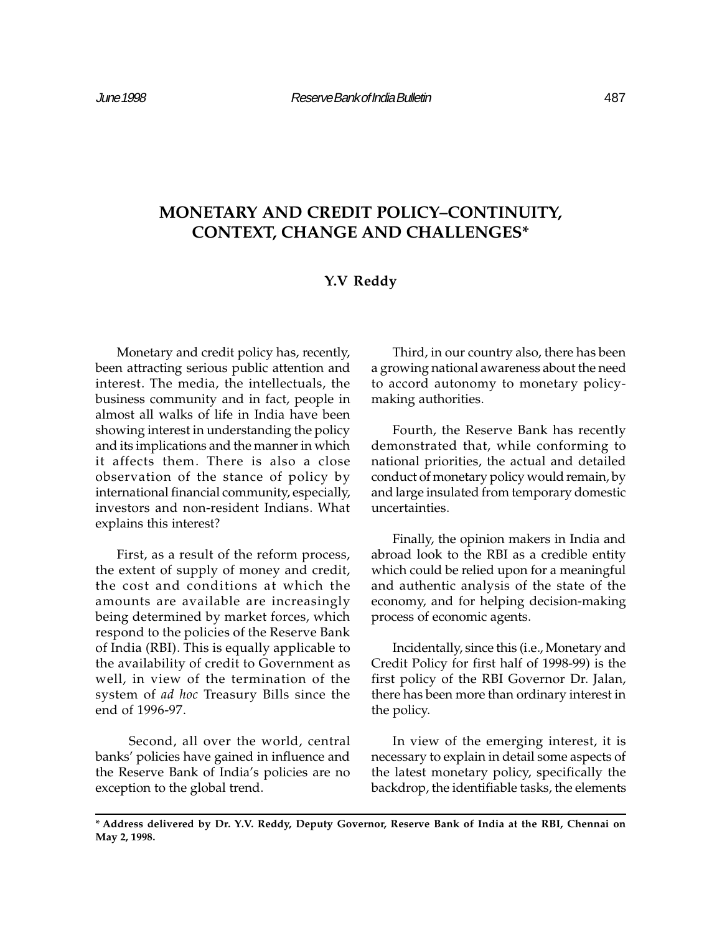# MONETARY AND CREDIT POLICY-CONTINUITY, CONTEXT, CHANGE AND CHALLENGES\*

# Y.V Reddy

Monetary and credit policy has, recently, been attracting serious public attention and interest. The media, the intellectuals, the business community and in fact, people in almost all walks of life in India have been showing interest in understanding the policy and its implications and the manner in which it affects them. There is also a close observation of the stance of policy by international financial community, especially, investors and non-resident Indians. What explains this interest?

First, as a result of the reform process, the extent of supply of money and credit, the cost and conditions at which the amounts are available are increasingly being determined by market forces, which respond to the policies of the Reserve Bank of India (RBI). This is equally applicable to the availability of credit to Government as well, in view of the termination of the system of ad hoc Treasury Bills since the end of 1996-97.

Second, all over the world, central banks' policies have gained in influence and the Reserve Bank of India's policies are no exception to the global trend.

Third, in our country also, there has been a growing national awareness about the need to accord autonomy to monetary policymaking authorities.

Fourth, the Reserve Bank has recently demonstrated that, while conforming to national priorities, the actual and detailed conduct of monetary policy would remain, by and large insulated from temporary domestic uncertainties.

Finally, the opinion makers in India and abroad look to the RBI as a credible entity which could be relied upon for a meaningful and authentic analysis of the state of the economy, and for helping decision-making process of economic agents.

Incidentally, since this (i.e., Monetary and Credit Policy for first half of 1998-99) is the first policy of the RBI Governor Dr. Jalan, there has been more than ordinary interest in the policy.

In view of the emerging interest, it is necessary to explain in detail some aspects of the latest monetary policy, specifically the backdrop, the identifiable tasks, the elements

<sup>\*</sup> Address delivered by Dr. Y.V. Reddy, Deputy Governor, Reserve Bank of India at the RBI, Chennai on May 2, 1998.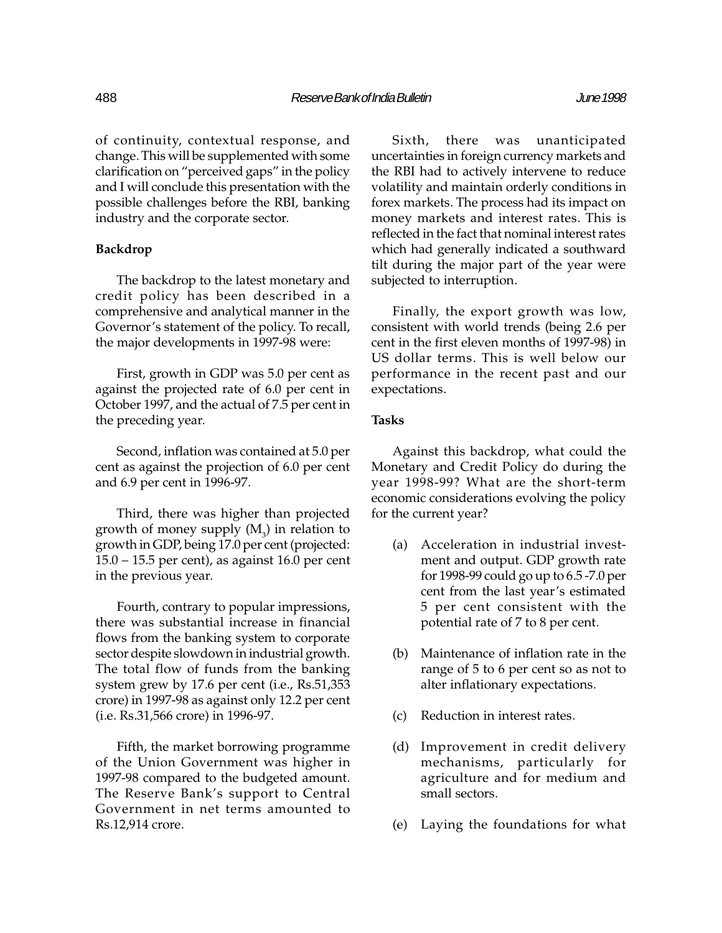of continuity, contextual response, and change. This will be supplemented with some clarification on "perceived gaps" in the policy and I will conclude this presentation with the possible challenges before the RBI, banking industry and the corporate sector.

## Backdrop

The backdrop to the latest monetary and credit policy has been described in a comprehensive and analytical manner in the Governor's statement of the policy. To recall, the major developments in 1997-98 were:

First, growth in GDP was 5.0 per cent as against the projected rate of 6.0 per cent in October 1997, and the actual of 7.5 per cent in the preceding year.

Second, inflation was contained at 5.0 per cent as against the projection of 6.0 per cent and 6.9 per cent in 1996-97.

Third, there was higher than projected growth of money supply  $(M_{3})$  in relation to growth in GDP, being 17.0 per cent (projected:  $15.0 - 15.5$  per cent), as against 16.0 per cent in the previous year.

Fourth, contrary to popular impressions, there was substantial increase in financial flows from the banking system to corporate sector despite slowdown in industrial growth. The total flow of funds from the banking system grew by 17.6 per cent (i.e., Rs.51,353 crore) in 1997-98 as against only 12.2 per cent (i.e. Rs.31,566 crore) in 1996-97.

Fifth, the market borrowing programme of the Union Government was higher in 1997-98 compared to the budgeted amount. The Reserve Bank's support to Central Government in net terms amounted to Rs.12,914 crore.

Sixth, there was unanticipated uncertainties in foreign currency markets and the RBI had to actively intervene to reduce volatility and maintain orderly conditions in forex markets. The process had its impact on money markets and interest rates. This is reflected in the fact that nominal interest rates which had generally indicated a southward tilt during the major part of the year were subjected to interruption.

Finally, the export growth was low, consistent with world trends (being 2.6 per cent in the first eleven months of 1997-98) in US dollar terms. This is well below our performance in the recent past and our expectations.

# Tasks

Against this backdrop, what could the Monetary and Credit Policy do during the year 1998-99? What are the short-term economic considerations evolving the policy for the current year?

- (a) Acceleration in industrial investment and output. GDP growth rate for 1998-99 could go up to 6.5 -7.0 per cent from the last year's estimated 5 per cent consistent with the potential rate of 7 to 8 per cent.
- (b) Maintenance of inflation rate in the range of 5 to 6 per cent so as not to alter inflationary expectations.
- (c) Reduction in interest rates.
- (d) Improvement in credit delivery mechanisms, particularly for agriculture and for medium and small sectors.
- (e) Laying the foundations for what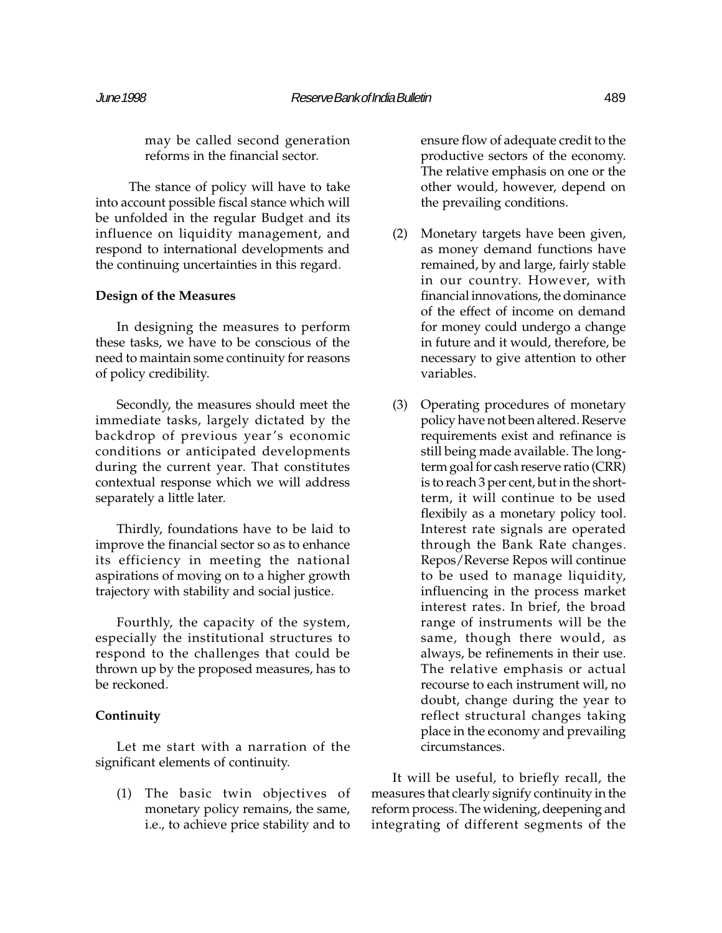may be called second generation reforms in the financial sector.

The stance of policy will have to take into account possible fiscal stance which will be unfolded in the regular Budget and its influence on liquidity management, and respond to international developments and the continuing uncertainties in this regard.

# Design of the Measures

In designing the measures to perform these tasks, we have to be conscious of the need to maintain some continuity for reasons of policy credibility.

Secondly, the measures should meet the immediate tasks, largely dictated by the backdrop of previous year's economic conditions or anticipated developments during the current year. That constitutes contextual response which we will address separately a little later.

Thirdly, foundations have to be laid to improve the financial sector so as to enhance its efficiency in meeting the national aspirations of moving on to a higher growth trajectory with stability and social justice.

Fourthly, the capacity of the system, especially the institutional structures to respond to the challenges that could be thrown up by the proposed measures, has to be reckoned.

# Continuity

Let me start with a narration of the significant elements of continuity.

(1) The basic twin objectives of monetary policy remains, the same, i.e., to achieve price stability and to

ensure flow of adequate credit to the productive sectors of the economy. The relative emphasis on one or the other would, however, depend on the prevailing conditions.

- (2) Monetary targets have been given, as money demand functions have remained, by and large, fairly stable in our country. However, with financial innovations, the dominance of the effect of income on demand for money could undergo a change in future and it would, therefore, be necessary to give attention to other variables.
- (3) Operating procedures of monetary policy have not been altered. Reserve requirements exist and refinance is still being made available. The longterm goal for cash reserve ratio (CRR) is to reach 3 per cent, but in the shortterm, it will continue to be used flexibily as a monetary policy tool. Interest rate signals are operated through the Bank Rate changes. Repos/Reverse Repos will continue to be used to manage liquidity, influencing in the process market interest rates. In brief, the broad range of instruments will be the same, though there would, as always, be refinements in their use. The relative emphasis or actual recourse to each instrument will, no doubt, change during the year to reflect structural changes taking place in the economy and prevailing circumstances.

It will be useful, to briefly recall, the measures that clearly signify continuity in the reform process. The widening, deepening and integrating of different segments of the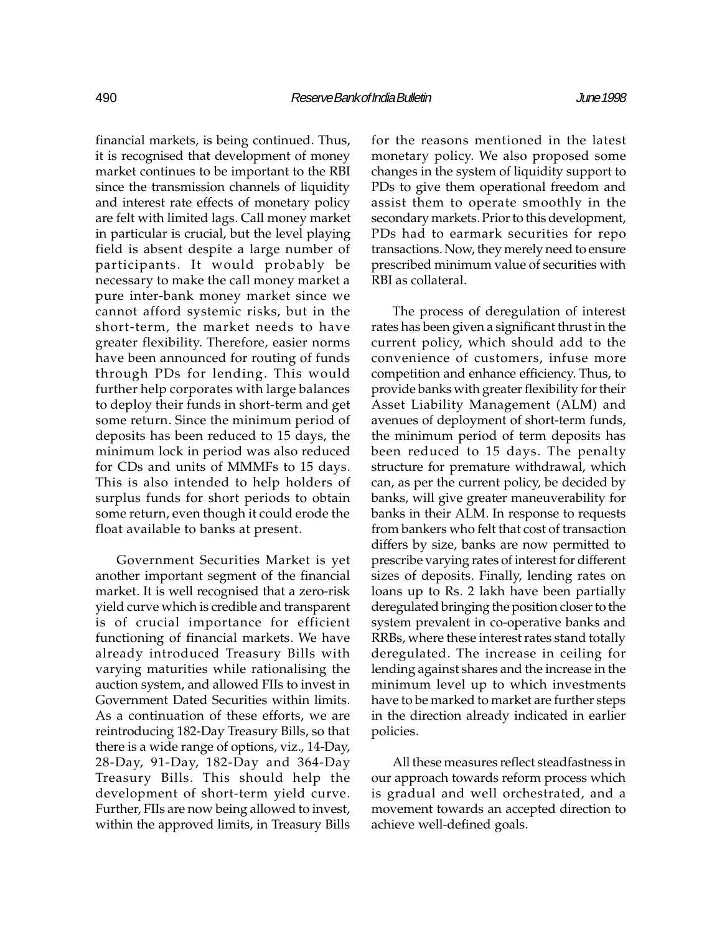financial markets, is being continued. Thus, it is recognised that development of money market continues to be important to the RBI since the transmission channels of liquidity and interest rate effects of monetary policy are felt with limited lags. Call money market in particular is crucial, but the level playing field is absent despite a large number of participants. It would probably be necessary to make the call money market a pure inter-bank money market since we cannot afford systemic risks, but in the short-term, the market needs to have greater flexibility. Therefore, easier norms have been announced for routing of funds through PDs for lending. This would further help corporates with large balances to deploy their funds in short-term and get some return. Since the minimum period of deposits has been reduced to 15 days, the minimum lock in period was also reduced for CDs and units of MMMFs to 15 days. This is also intended to help holders of surplus funds for short periods to obtain some return, even though it could erode the float available to banks at present.

Government Securities Market is yet another important segment of the financial market. It is well recognised that a zero-risk yield curve which is credible and transparent is of crucial importance for efficient functioning of financial markets. We have already introduced Treasury Bills with varying maturities while rationalising the auction system, and allowed FIIs to invest in Government Dated Securities within limits. As a continuation of these efforts, we are reintroducing 182-Day Treasury Bills, so that there is a wide range of options, viz., 14-Day, 28-Day, 91-Day, 182-Day and 364-Day Treasury Bills. This should help the development of short-term yield curve. Further, FIIs are now being allowed to invest, within the approved limits, in Treasury Bills

for the reasons mentioned in the latest monetary policy. We also proposed some changes in the system of liquidity support to PDs to give them operational freedom and assist them to operate smoothly in the secondary markets. Prior to this development, PDs had to earmark securities for repo transactions. Now, they merely need to ensure prescribed minimum value of securities with RBI as collateral.

The process of deregulation of interest rates has been given a significant thrust in the current policy, which should add to the convenience of customers, infuse more competition and enhance efficiency. Thus, to provide banks with greater flexibility for their Asset Liability Management (ALM) and avenues of deployment of short-term funds, the minimum period of term deposits has been reduced to 15 days. The penalty structure for premature withdrawal, which can, as per the current policy, be decided by banks, will give greater maneuverability for banks in their ALM. In response to requests from bankers who felt that cost of transaction differs by size, banks are now permitted to prescribe varying rates of interest for different sizes of deposits. Finally, lending rates on loans up to Rs. 2 lakh have been partially deregulated bringing the position closer to the system prevalent in co-operative banks and RRBs, where these interest rates stand totally deregulated. The increase in ceiling for lending against shares and the increase in the minimum level up to which investments have to be marked to market are further steps in the direction already indicated in earlier policies.

All these measures reflect steadfastness in our approach towards reform process which is gradual and well orchestrated, and a movement towards an accepted direction to achieve well-defined goals.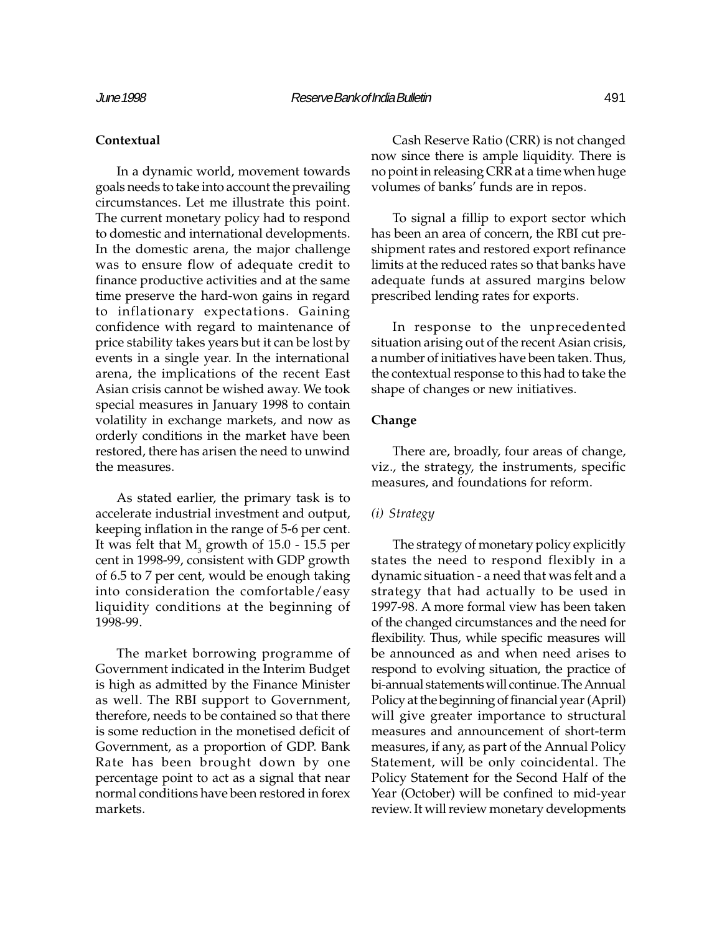## **Contextual**

In a dynamic world, movement towards goals needs to take into account the prevailing circumstances. Let me illustrate this point. The current monetary policy had to respond to domestic and international developments. In the domestic arena, the major challenge was to ensure flow of adequate credit to finance productive activities and at the same time preserve the hard-won gains in regard to inflationary expectations. Gaining confidence with regard to maintenance of price stability takes years but it can be lost by events in a single year. In the international arena, the implications of the recent East Asian crisis cannot be wished away. We took special measures in January 1998 to contain volatility in exchange markets, and now as orderly conditions in the market have been restored, there has arisen the need to unwind the measures.

As stated earlier, the primary task is to accelerate industrial investment and output, keeping inflation in the range of 5-6 per cent. It was felt that  $\mathrm{M}_3^{}$  growth of 15.0 - 15.5 per cent in 1998-99, consistent with GDP growth of 6.5 to 7 per cent, would be enough taking into consideration the comfortable/easy liquidity conditions at the beginning of 1998-99.

The market borrowing programme of Government indicated in the Interim Budget is high as admitted by the Finance Minister as well. The RBI support to Government, therefore, needs to be contained so that there is some reduction in the monetised deficit of Government, as a proportion of GDP. Bank Rate has been brought down by one percentage point to act as a signal that near normal conditions have been restored in forex markets.

Cash Reserve Ratio (CRR) is not changed now since there is ample liquidity. There is no point in releasing CRR at a time when huge volumes of banks' funds are in repos.

To signal a fillip to export sector which has been an area of concern, the RBI cut preshipment rates and restored export refinance limits at the reduced rates so that banks have adequate funds at assured margins below prescribed lending rates for exports.

In response to the unprecedented situation arising out of the recent Asian crisis, a number of initiatives have been taken. Thus, the contextual response to this had to take the shape of changes or new initiatives.

# Change

There are, broadly, four areas of change, viz., the strategy, the instruments, specific measures, and foundations for reform.

#### (i) Strategy

The strategy of monetary policy explicitly states the need to respond flexibly in a dynamic situation - a need that was felt and a strategy that had actually to be used in 1997-98. A more formal view has been taken of the changed circumstances and the need for flexibility. Thus, while specific measures will be announced as and when need arises to respond to evolving situation, the practice of bi-annual statements will continue. The Annual Policy at the beginning of financial year (April) will give greater importance to structural measures and announcement of short-term measures, if any, as part of the Annual Policy Statement, will be only coincidental. The Policy Statement for the Second Half of the Year (October) will be confined to mid-year review. It will review monetary developments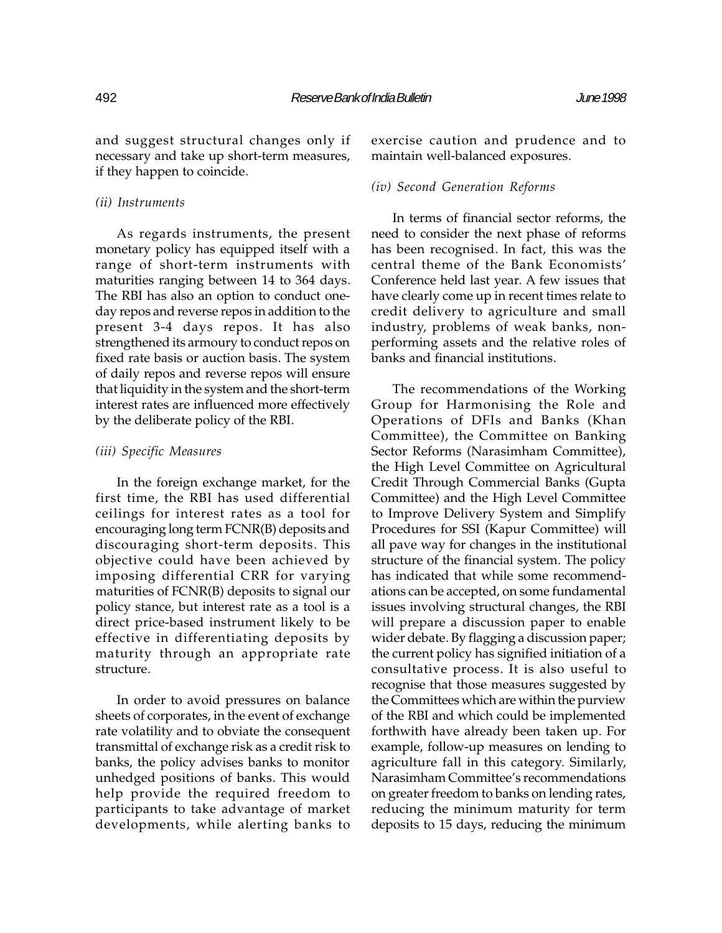and suggest structural changes only if necessary and take up short-term measures, if they happen to coincide.

#### (ii) Instruments

As regards instruments, the present monetary policy has equipped itself with a range of short-term instruments with maturities ranging between 14 to 364 days. The RBI has also an option to conduct oneday repos and reverse repos in addition to the present 3-4 days repos. It has also strengthened its armoury to conduct repos on fixed rate basis or auction basis. The system of daily repos and reverse repos will ensure that liquidity in the system and the short-term interest rates are influenced more effectively by the deliberate policy of the RBI.

#### (iii) Specific Measures

In the foreign exchange market, for the first time, the RBI has used differential ceilings for interest rates as a tool for encouraging long term FCNR(B) deposits and discouraging short-term deposits. This objective could have been achieved by imposing differential CRR for varying maturities of FCNR(B) deposits to signal our policy stance, but interest rate as a tool is a direct price-based instrument likely to be effective in differentiating deposits by maturity through an appropriate rate structure.

In order to avoid pressures on balance sheets of corporates, in the event of exchange rate volatility and to obviate the consequent transmittal of exchange risk as a credit risk to banks, the policy advises banks to monitor unhedged positions of banks. This would help provide the required freedom to participants to take advantage of market developments, while alerting banks to

exercise caution and prudence and to maintain well-balanced exposures.

## (iv) Second Generation Reforms

In terms of financial sector reforms, the need to consider the next phase of reforms has been recognised. In fact, this was the central theme of the Bank Economists Conference held last year. A few issues that have clearly come up in recent times relate to credit delivery to agriculture and small industry, problems of weak banks, nonperforming assets and the relative roles of banks and financial institutions.

The recommendations of the Working Group for Harmonising the Role and Operations of DFIs and Banks (Khan Committee), the Committee on Banking Sector Reforms (Narasimham Committee), the High Level Committee on Agricultural Credit Through Commercial Banks (Gupta Committee) and the High Level Committee to Improve Delivery System and Simplify Procedures for SSI (Kapur Committee) will all pave way for changes in the institutional structure of the financial system. The policy has indicated that while some recommendations can be accepted, on some fundamental issues involving structural changes, the RBI will prepare a discussion paper to enable wider debate. By flagging a discussion paper; the current policy has signified initiation of a consultative process. It is also useful to recognise that those measures suggested by the Committees which are within the purview of the RBI and which could be implemented forthwith have already been taken up. For example, follow-up measures on lending to agriculture fall in this category. Similarly, Narasimham Committee's recommendations on greater freedom to banks on lending rates, reducing the minimum maturity for term deposits to 15 days, reducing the minimum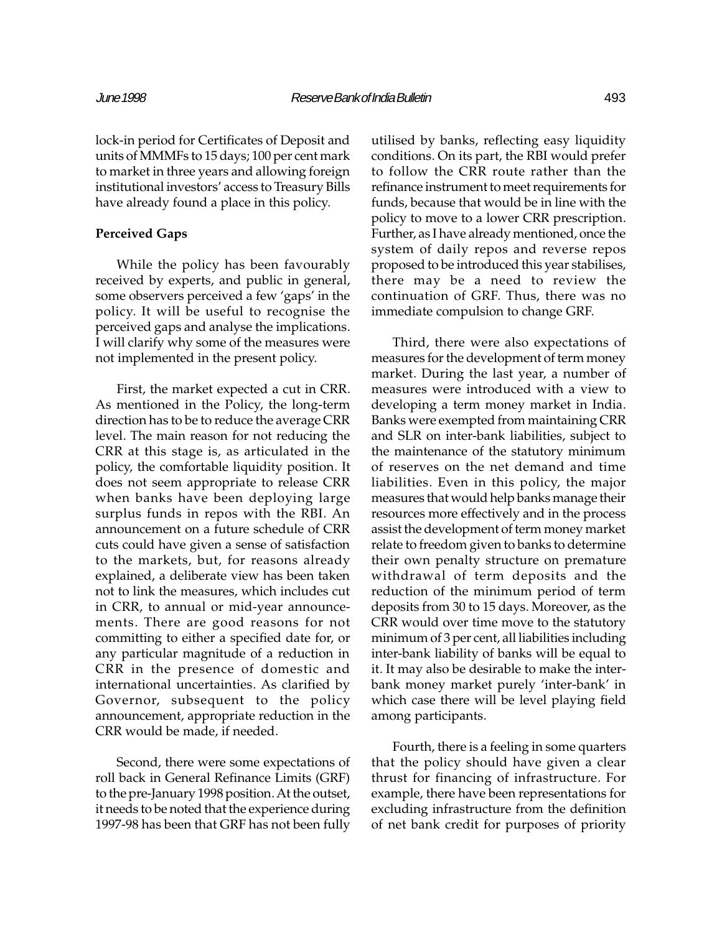lock-in period for Certificates of Deposit and units of MMMFs to 15 days; 100 per cent mark to market in three years and allowing foreign institutional investors' access to Treasury Bills have already found a place in this policy.

# Perceived Gaps

While the policy has been favourably received by experts, and public in general, some observers perceived a few 'gaps' in the policy. It will be useful to recognise the perceived gaps and analyse the implications. I will clarify why some of the measures were not implemented in the present policy.

First, the market expected a cut in CRR. As mentioned in the Policy, the long-term direction has to be to reduce the average CRR level. The main reason for not reducing the CRR at this stage is, as articulated in the policy, the comfortable liquidity position. It does not seem appropriate to release CRR when banks have been deploying large surplus funds in repos with the RBI. An announcement on a future schedule of CRR cuts could have given a sense of satisfaction to the markets, but, for reasons already explained, a deliberate view has been taken not to link the measures, which includes cut in CRR, to annual or mid-year announcements. There are good reasons for not committing to either a specified date for, or any particular magnitude of a reduction in CRR in the presence of domestic and international uncertainties. As clarified by Governor, subsequent to the policy announcement, appropriate reduction in the CRR would be made, if needed.

Second, there were some expectations of roll back in General Refinance Limits (GRF) to the pre-January 1998 position. At the outset, it needs to be noted that the experience during 1997-98 has been that GRF has not been fully

utilised by banks, reflecting easy liquidity conditions. On its part, the RBI would prefer to follow the CRR route rather than the refinance instrument to meet requirements for funds, because that would be in line with the policy to move to a lower CRR prescription. Further, as I have already mentioned, once the system of daily repos and reverse repos proposed to be introduced this year stabilises, there may be a need to review the continuation of GRF. Thus, there was no immediate compulsion to change GRF.

Third, there were also expectations of measures for the development of term money market. During the last year, a number of measures were introduced with a view to developing a term money market in India. Banks were exempted from maintaining CRR and SLR on inter-bank liabilities, subject to the maintenance of the statutory minimum of reserves on the net demand and time liabilities. Even in this policy, the major measures that would help banks manage their resources more effectively and in the process assist the development of term money market relate to freedom given to banks to determine their own penalty structure on premature withdrawal of term deposits and the reduction of the minimum period of term deposits from 30 to 15 days. Moreover, as the CRR would over time move to the statutory minimum of 3 per cent, all liabilities including inter-bank liability of banks will be equal to it. It may also be desirable to make the interbank money market purely 'inter-bank' in which case there will be level playing field among participants.

Fourth, there is a feeling in some quarters that the policy should have given a clear thrust for financing of infrastructure. For example, there have been representations for excluding infrastructure from the definition of net bank credit for purposes of priority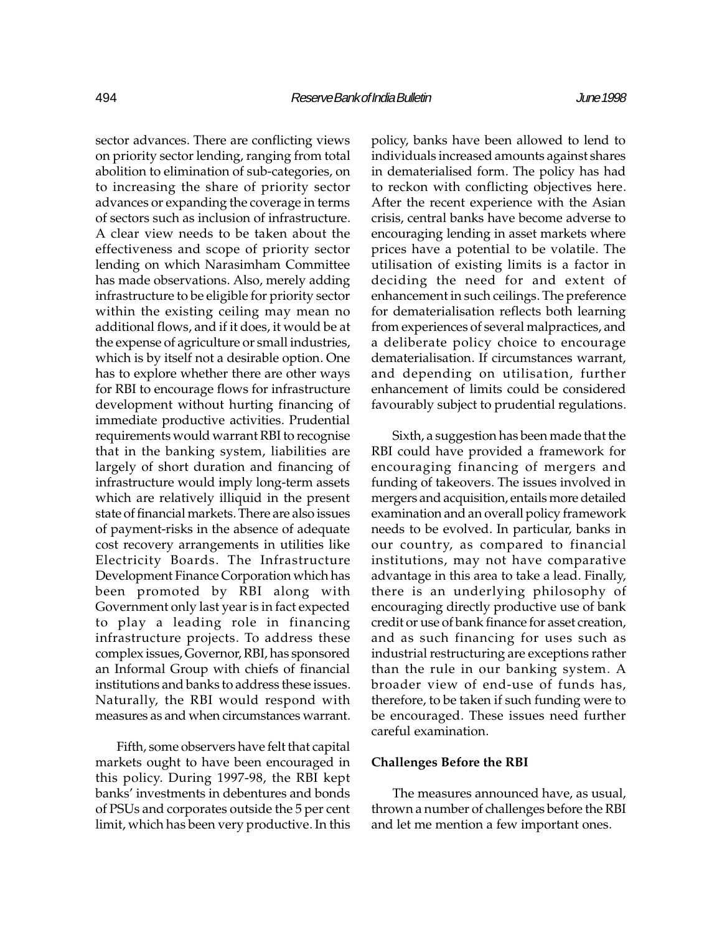sector advances. There are conflicting views on priority sector lending, ranging from total abolition to elimination of sub-categories, on to increasing the share of priority sector advances or expanding the coverage in terms of sectors such as inclusion of infrastructure. A clear view needs to be taken about the effectiveness and scope of priority sector lending on which Narasimham Committee has made observations. Also, merely adding infrastructure to be eligible for priority sector within the existing ceiling may mean no additional flows, and if it does, it would be at the expense of agriculture or small industries, which is by itself not a desirable option. One has to explore whether there are other ways for RBI to encourage flows for infrastructure development without hurting financing of immediate productive activities. Prudential requirements would warrant RBI to recognise that in the banking system, liabilities are largely of short duration and financing of infrastructure would imply long-term assets which are relatively illiquid in the present state of financial markets. There are also issues of payment-risks in the absence of adequate cost recovery arrangements in utilities like Electricity Boards. The Infrastructure Development Finance Corporation which has been promoted by RBI along with Government only last year is in fact expected to play a leading role in financing infrastructure projects. To address these complex issues, Governor, RBI, has sponsored an Informal Group with chiefs of financial institutions and banks to address these issues. Naturally, the RBI would respond with measures as and when circumstances warrant.

Fifth, some observers have felt that capital markets ought to have been encouraged in this policy. During 1997-98, the RBI kept banks' investments in debentures and bonds of PSUs and corporates outside the 5 per cent limit, which has been very productive. In this

policy, banks have been allowed to lend to individuals increased amounts against shares in dematerialised form. The policy has had to reckon with conflicting objectives here. After the recent experience with the Asian crisis, central banks have become adverse to encouraging lending in asset markets where prices have a potential to be volatile. The utilisation of existing limits is a factor in deciding the need for and extent of enhancement in such ceilings. The preference for dematerialisation reflects both learning from experiences of several malpractices, and a deliberate policy choice to encourage dematerialisation. If circumstances warrant, and depending on utilisation, further enhancement of limits could be considered favourably subject to prudential regulations.

Sixth, a suggestion has been made that the RBI could have provided a framework for encouraging financing of mergers and funding of takeovers. The issues involved in mergers and acquisition, entails more detailed examination and an overall policy framework needs to be evolved. In particular, banks in our country, as compared to financial institutions, may not have comparative advantage in this area to take a lead. Finally, there is an underlying philosophy of encouraging directly productive use of bank credit or use of bank finance for asset creation, and as such financing for uses such as industrial restructuring are exceptions rather than the rule in our banking system. A broader view of end-use of funds has, therefore, to be taken if such funding were to be encouraged. These issues need further careful examination.

#### Challenges Before the RBI

The measures announced have, as usual, thrown a number of challenges before the RBI and let me mention a few important ones.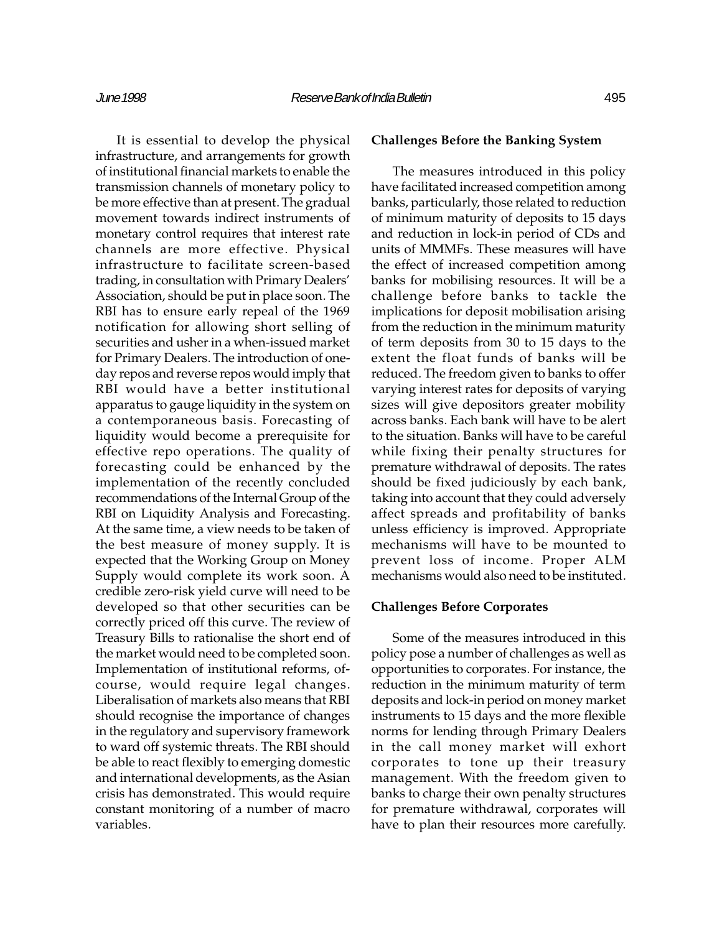It is essential to develop the physical infrastructure, and arrangements for growth of institutional financial markets to enable the transmission channels of monetary policy to be more effective than at present. The gradual movement towards indirect instruments of monetary control requires that interest rate channels are more effective. Physical infrastructure to facilitate screen-based trading, in consultation with Primary Dealers Association, should be put in place soon. The RBI has to ensure early repeal of the 1969 notification for allowing short selling of securities and usher in a when-issued market for Primary Dealers. The introduction of oneday repos and reverse repos would imply that RBI would have a better institutional apparatus to gauge liquidity in the system on a contemporaneous basis. Forecasting of liquidity would become a prerequisite for effective repo operations. The quality of forecasting could be enhanced by the implementation of the recently concluded recommendations of the Internal Group of the RBI on Liquidity Analysis and Forecasting. At the same time, a view needs to be taken of the best measure of money supply. It is expected that the Working Group on Money Supply would complete its work soon. A credible zero-risk yield curve will need to be developed so that other securities can be correctly priced off this curve. The review of Treasury Bills to rationalise the short end of the market would need to be completed soon. Implementation of institutional reforms, ofcourse, would require legal changes. Liberalisation of markets also means that RBI should recognise the importance of changes in the regulatory and supervisory framework to ward off systemic threats. The RBI should be able to react flexibly to emerging domestic and international developments, as the Asian crisis has demonstrated. This would require constant monitoring of a number of macro variables.

## Challenges Before the Banking System

The measures introduced in this policy have facilitated increased competition among banks, particularly, those related to reduction of minimum maturity of deposits to 15 days and reduction in lock-in period of CDs and units of MMMFs. These measures will have the effect of increased competition among banks for mobilising resources. It will be a challenge before banks to tackle the implications for deposit mobilisation arising from the reduction in the minimum maturity of term deposits from 30 to 15 days to the extent the float funds of banks will be reduced. The freedom given to banks to offer varying interest rates for deposits of varying sizes will give depositors greater mobility across banks. Each bank will have to be alert to the situation. Banks will have to be careful while fixing their penalty structures for premature withdrawal of deposits. The rates should be fixed judiciously by each bank, taking into account that they could adversely affect spreads and profitability of banks unless efficiency is improved. Appropriate mechanisms will have to be mounted to prevent loss of income. Proper ALM mechanisms would also need to be instituted.

#### Challenges Before Corporates

Some of the measures introduced in this policy pose a number of challenges as well as opportunities to corporates. For instance, the reduction in the minimum maturity of term deposits and lock-in period on money market instruments to 15 days and the more flexible norms for lending through Primary Dealers in the call money market will exhort corporates to tone up their treasury management. With the freedom given to banks to charge their own penalty structures for premature withdrawal, corporates will have to plan their resources more carefully.